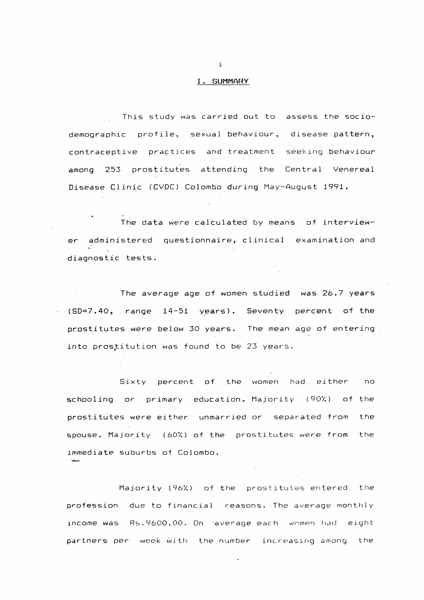### I. SUMMARY

 $\mathbf{i}$ 

This study was carried out to assess the socio-

demographic profile, sexual behaviour, disease pattern,

con tracept i ve practices and treatment seeking behaviour

among 253 prostitutes attending the Central Venereal

Disease Clinic (CVDC) Colombo during May-August 1991.

The data were calculated by means of interview-

er administered questionnaire, clinical examination and t. diagnostic tests.

The average age of women studied was 26.7 years

(SD=7.40, range 14-51 years). Seventy percent of the

Sixty percent of the women had either ho schooling or primary education. Majority (90%) of the prostitutes were either unmarried or separated from the spouse. Majority (60%) of the prostitutes were from the immediate suburbs of Colombo.

**SALOA** 

prostitutes were below 30 years. The mean age of entering into prostitution was found to be 23 years.

Majority (967.) of the prostitutes entered the

profession due to financial reasons. The average monthly

income was Re.9600.00. On average each women had eight

partners per week with the number increasing among the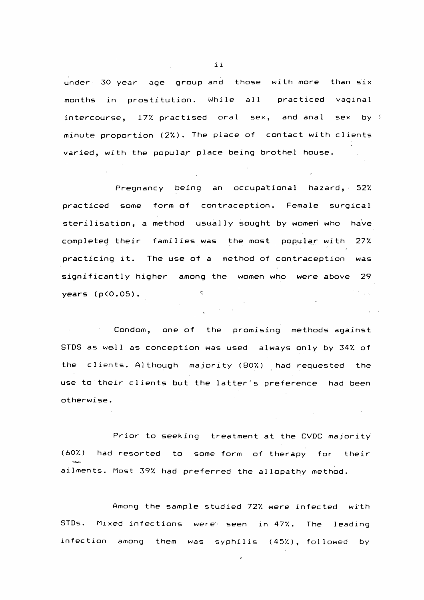### $\mathbf{i}$

**under 30 year age group and those with more than six** months in prostitution. While all practiced vaginal **intercourse, 17'/. practised oral sex, and anal sex by minute proportion (27.). The place of contact with clients varied, with the popular place being brothel house.**

# $f$

**Pregnancy being an occupational hazard, 527**

**State Control** 

practiced some form of contraception. Female surgical sterilisation, a method usually sought by women who have

**years (p<0.05). ^**  $\mathcal{L}_{\text{max}}$ 

**completed their families was the most popular with 277. practicing it. The use of a method of contraception was**

**significantly** higher among the women who were above 29

**Condom, one of the promising methods against** STDS as well as conception was used always only by 34% of **the clients. Although majority (807.) had requested the use to their clients but the latter's preference had been otherwise.**

**Prior to seeking treatment at the CVDC majority (607.) had resorted to some form of therapy for their MADE ailments. Most 397 had preferred the allopathy method.**

#### **Among the sample studied 727. were infected with**

 $\bullet$ 

**STDs. Mixed infections were- seen in 477. The leading i n f e e t i o n among them was syphilis (457), followed by**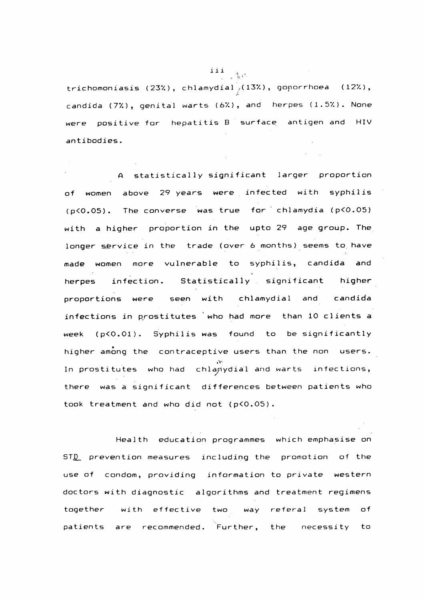## **Ill** trichomoniasis (23%), chlamydial<sub>/</sub>(13%), goņorrhoea (12%),  $\ddot{\prime}$ **Candida (77.), genital warts (67.), and herpes (1.57.). None** were positive for hepatitis B surface antigen and HIV **antibodies.**

A statistically significant larger proportion **of women above 29 years were infected with syphilis (p<0.05). The converse was true for chlamydia (p<0.05) with a higher proportion in the upto 29 age group. The longer service in the trade (over** 6 **months) seems to have made women more vulnerable to syphilis, Candida and herpes infection. Statistically significant higher proportions were seen with chlamydial and Candida** infections in prostitutes who had more than 10 clients a

**together with effective two way referal system of** patients are recommended. Further, the necessity to

**week (p<0.01). Syphilis was found to be significantly higher among the contraceptive users than the non users.**  $\mathcal{N}_{\bullet}$ In prostitutes who had chlanydial and warts infections, there was a significant differences between patients who **took treatment and who did not (p<0.05). Health education programmes which emphasise on** ST<u>D</u> prevention measures including the promotion of the **use of condom, providing information to private western**

**doctors with diagnostic algorithms and treatment regimens**